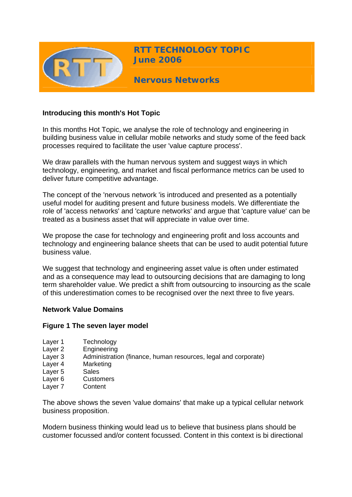

**RTT TECHNOLOGY TOPIC June 2006**

**Nervous Networks** 

## **Introducing this month's Hot Topic**

In this months Hot Topic, we analyse the role of technology and engineering in building business value in cellular mobile networks and study some of the feed back processes required to facilitate the user 'value capture process'.

We draw parallels with the human nervous system and suggest ways in which technology, engineering, and market and fiscal performance metrics can be used to deliver future competitive advantage.

The concept of the 'nervous network 'is introduced and presented as a potentially useful model for auditing present and future business models. We differentiate the role of 'access networks' and 'capture networks' and argue that 'capture value' can be treated as a business asset that will appreciate in value over time.

We propose the case for technology and engineering profit and loss accounts and technology and engineering balance sheets that can be used to audit potential future business value.

We suggest that technology and engineering asset value is often under estimated and as a consequence may lead to outsourcing decisions that are damaging to long term shareholder value. We predict a shift from outsourcing to insourcing as the scale of this underestimation comes to be recognised over the next three to five years.

#### **Network Value Domains**

#### **Figure 1 The seven layer model**

- Layer 1 Technology
- Layer 2 Engineering
- Layer 3 Administration (finance, human resources, legal and corporate)
- Layer 4 Marketing
- Layer 5 Sales
- Layer 6 Customers
- Layer 7 Content

The above shows the seven 'value domains' that make up a typical cellular network business proposition.

Modern business thinking would lead us to believe that business plans should be customer focussed and/or content focussed. Content in this context is bi directional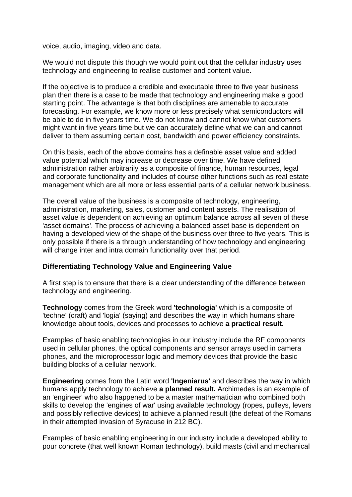voice, audio, imaging, video and data.

We would not dispute this though we would point out that the cellular industry uses technology and engineering to realise customer and content value.

If the objective is to produce a credible and executable three to five year business plan then there is a case to be made that technology and engineering make a good starting point. The advantage is that both disciplines are amenable to accurate forecasting. For example, we know more or less precisely what semiconductors will be able to do in five years time. We do not know and cannot know what customers might want in five years time but we can accurately define what we can and cannot deliver to them assuming certain cost, bandwidth and power efficiency constraints.

On this basis, each of the above domains has a definable asset value and added value potential which may increase or decrease over time. We have defined administration rather arbitrarily as a composite of finance, human resources, legal and corporate functionality and includes of course other functions such as real estate management which are all more or less essential parts of a cellular network business.

The overall value of the business is a composite of technology, engineering, administration, marketing, sales, customer and content assets. The realisation of asset value is dependent on achieving an optimum balance across all seven of these 'asset domains'. The process of achieving a balanced asset base is dependent on having a developed view of the shape of the business over three to five years. This is only possible if there is a through understanding of how technology and engineering will change inter and intra domain functionality over that period.

#### **Differentiating Technology Value and Engineering Value**

A first step is to ensure that there is a clear understanding of the difference between technology and engineering.

**Technology** comes from the Greek word **'technologia'** which is a composite of 'techne' (craft) and 'logia' (saying) and describes the way in which humans share knowledge about tools, devices and processes to achieve **a practical result.** 

Examples of basic enabling technologies in our industry include the RF components used in cellular phones, the optical components and sensor arrays used in camera phones, and the microprocessor logic and memory devices that provide the basic building blocks of a cellular network.

**Engineering** comes from the Latin word **'Ingeniarus'** and describes the way in which humans apply technology to achieve **a planned result.** Archimedes is an example of an 'engineer' who also happened to be a master mathematician who combined both skills to develop the 'engines of war' using available technology (ropes, pulleys, levers and possibly reflective devices) to achieve a planned result (the defeat of the Romans in their attempted invasion of Syracuse in 212 BC).

Examples of basic enabling engineering in our industry include a developed ability to pour concrete (that well known Roman technology), build masts (civil and mechanical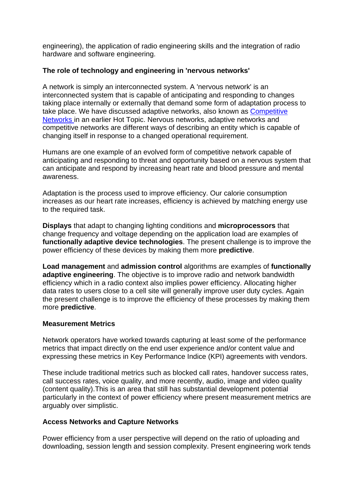engineering), the application of radio engineering skills and the integration of radio hardware and software engineering.

## **The role of technology and engineering in 'nervous networks'**

A network is simply an interconnected system. A 'nervous network' is an interconnected system that is capable of anticipating and responding to changes taking place internally or externally that demand some form of adaptation process to take place. We have discussed adaptive networks, also known as **Competitive** [Networks](http://www.rttonline.com/hottop_frame.htm) in an earlier Hot Topic. Nervous networks, adaptive networks and competitive networks are different ways of describing an entity which is capable of changing itself in response to a changed operational requirement.

Humans are one example of an evolved form of competitive network capable of anticipating and responding to threat and opportunity based on a nervous system that can anticipate and respond by increasing heart rate and blood pressure and mental awareness.

Adaptation is the process used to improve efficiency. Our calorie consumption increases as our heart rate increases, efficiency is achieved by matching energy use to the required task.

**Displays** that adapt to changing lighting conditions and **microprocessors** that change frequency and voltage depending on the application load are examples of **functionally adaptive device technologies**. The present challenge is to improve the power efficiency of these devices by making them more **predictive**.

**Load management** and **admission control** algorithms are examples of **functionally adaptive engineering**. The objective is to improve radio and network bandwidth efficiency which in a radio context also implies power efficiency. Allocating higher data rates to users close to a cell site will generally improve user duty cycles. Again the present challenge is to improve the efficiency of these processes by making them more **predictive**.

#### **Measurement Metrics**

Network operators have worked towards capturing at least some of the performance metrics that impact directly on the end user experience and/or content value and expressing these metrics in Key Performance Indice (KPI) agreements with vendors.

These include traditional metrics such as blocked call rates, handover success rates, call success rates, voice quality, and more recently, audio, image and video quality (content quality).This is an area that still has substantial development potential particularly in the context of power efficiency where present measurement metrics are arguably over simplistic.

# **Access Networks and Capture Networks**

Power efficiency from a user perspective will depend on the ratio of uploading and downloading, session length and session complexity. Present engineering work tends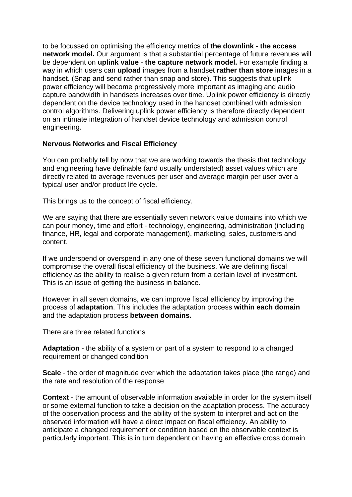to be focussed on optimising the efficiency metrics of **the downlink** - **the access network model.** Our argument is that a substantial percentage of future revenues will be dependent on **uplink value** - **the capture network model.** For example finding a way in which users can **upload** images from a handset **rather than store** images in a handset. (Snap and send rather than snap and store). This suggests that uplink power efficiency will become progressively more important as imaging and audio capture bandwidth in handsets increases over time. Uplink power efficiency is directly dependent on the device technology used in the handset combined with admission control algorithms. Delivering uplink power efficiency is therefore directly dependent on an intimate integration of handset device technology and admission control engineering.

## **Nervous Networks and Fiscal Efficiency**

You can probably tell by now that we are working towards the thesis that technology and engineering have definable (and usually understated) asset values which are directly related to average revenues per user and average margin per user over a typical user and/or product life cycle.

This brings us to the concept of fiscal efficiency.

We are saying that there are essentially seven network value domains into which we can pour money, time and effort - technology, engineering, administration (including finance, HR, legal and corporate management), marketing, sales, customers and content.

If we underspend or overspend in any one of these seven functional domains we will compromise the overall fiscal efficiency of the business. We are defining fiscal efficiency as the ability to realise a given return from a certain level of investment. This is an issue of getting the business in balance.

However in all seven domains, we can improve fiscal efficiency by improving the process of **adaptation**. This includes the adaptation process **within each domain** and the adaptation process **between domains.**

There are three related functions

**Adaptation** - the ability of a system or part of a system to respond to a changed requirement or changed condition

**Scale** - the order of magnitude over which the adaptation takes place (the range) and the rate and resolution of the response

**Context** - the amount of observable information available in order for the system itself or some external function to take a decision on the adaptation process. The accuracy of the observation process and the ability of the system to interpret and act on the observed information will have a direct impact on fiscal efficiency. An ability to anticipate a changed requirement or condition based on the observable context is particularly important. This is in turn dependent on having an effective cross domain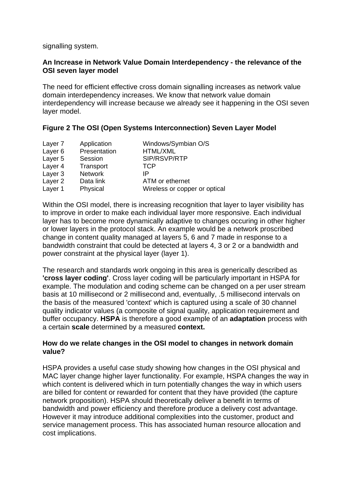signalling system.

#### **An Increase in Network Value Domain Interdependency - the relevance of the OSI seven layer model**

The need for efficient effective cross domain signalling increases as network value domain interdependency increases. We know that network value domain interdependency will increase because we already see it happening in the OSI seven layer model.

#### **Figure 2 The OSI (Open Systems Interconnection) Seven Layer Model**

| Application  | Windows/Symbian O/S           |
|--------------|-------------------------------|
| Presentation | <b>HTML/XML</b>               |
| Session      | SIP/RSVP/RTP                  |
| Transport    | <b>TCP</b>                    |
| Network      | IP                            |
| Data link    | ATM or ethernet               |
| Physical     | Wireless or copper or optical |
|              |                               |

Within the OSI model, there is increasing recognition that layer to layer visibility has to improve in order to make each individual layer more responsive. Each individual layer has to become more dynamically adaptive to changes occuring in other higher or lower layers in the protocol stack. An example would be a network proscribed change in content quality managed at layers 5, 6 and 7 made in response to a bandwidth constraint that could be detected at layers 4, 3 or 2 or a bandwidth and power constraint at the physical layer (layer 1).

The research and standards work ongoing in this area is generically described as **'cross layer coding'**. Cross layer coding will be particularly important in HSPA for example. The modulation and coding scheme can be changed on a per user stream basis at 10 millisecond or 2 millisecond and, eventually, .5 millisecond intervals on the basis of the measured 'context' which is captured using a scale of 30 channel quality indicator values (a composite of signal quality, application requirement and buffer occupancy. **HSPA** is therefore a good example of an **adaptation** process with a certain **scale** determined by a measured **context.**

#### **How do we relate changes in the OSI model to changes in network domain value?**

HSPA provides a useful case study showing how changes in the OSI physical and MAC layer change higher layer functionality. For example, HSPA changes the way in which content is delivered which in turn potentially changes the way in which users are billed for content or rewarded for content that they have provided (the capture network proposition). HSPA should theoretically deliver a benefit in terms of bandwidth and power efficiency and therefore produce a delivery cost advantage. However it may introduce additional complexities into the customer, product and service management process. This has associated human resource allocation and cost implications.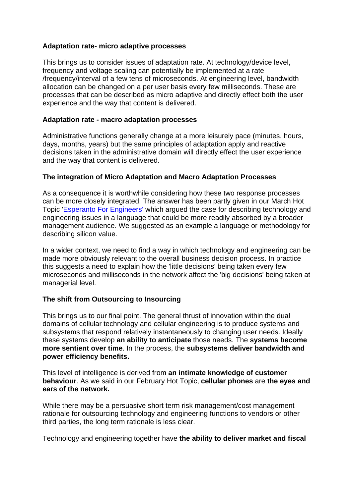### **Adaptation rate- micro adaptive processes**

This brings us to consider issues of adaptation rate. At technology/device level, frequency and voltage scaling can potentially be implemented at a rate /frequency/interval of a few tens of microseconds. At engineering level, bandwidth allocation can be changed on a per user basis every few milliseconds. These are processes that can be described as micro adaptive and directly effect both the user experience and the way that content is delivered.

### **Adaptation rate - macro adaptation processes**

Administrative functions generally change at a more leisurely pace (minutes, hours, days, months, years) but the same principles of adaptation apply and reactive decisions taken in the administrative domain will directly effect the user experience and the way that content is delivered.

## **The integration of Micro Adaptation and Macro Adaptation Processes**

As a consequence it is worthwhile considering how these two response processes can be more closely integrated. The answer has been partly given in our March Hot Topic '[Esperanto For Engineers' w](http://www.rttonline.com/hottop_frame.htm)hich argued the case for describing technology and engineering issues in a language that could be more readily absorbed by a broader management audience. We suggested as an example a language or methodology for describing silicon value.

In a wider context, we need to find a way in which technology and engineering can be made more obviously relevant to the overall business decision process. In practice this suggests a need to explain how the 'little decisions' being taken every few microseconds and milliseconds in the network affect the 'big decisions' being taken at managerial level.

# **The shift from Outsourcing to Insourcing**

This brings us to our final point. The general thrust of innovation within the dual domains of cellular technology and cellular engineering is to produce systems and subsystems that respond relatively instantaneously to changing user needs. Ideally these systems develop **an ability to anticipate** those needs. The **systems become more sentient over time**. In the process, the **subsystems deliver bandwidth and power efficiency benefits.**

This level of intelligence is derived from **an intimate knowledge of customer behaviour**. As we said in our February Hot Topic, **cellular phones** are **the eyes and ears of the network.**

While there may be a persuasive short term risk management/cost management rationale for outsourcing technology and engineering functions to vendors or other third parties, the long term rationale is less clear.

Technology and engineering together have **the ability to deliver market and fiscal**